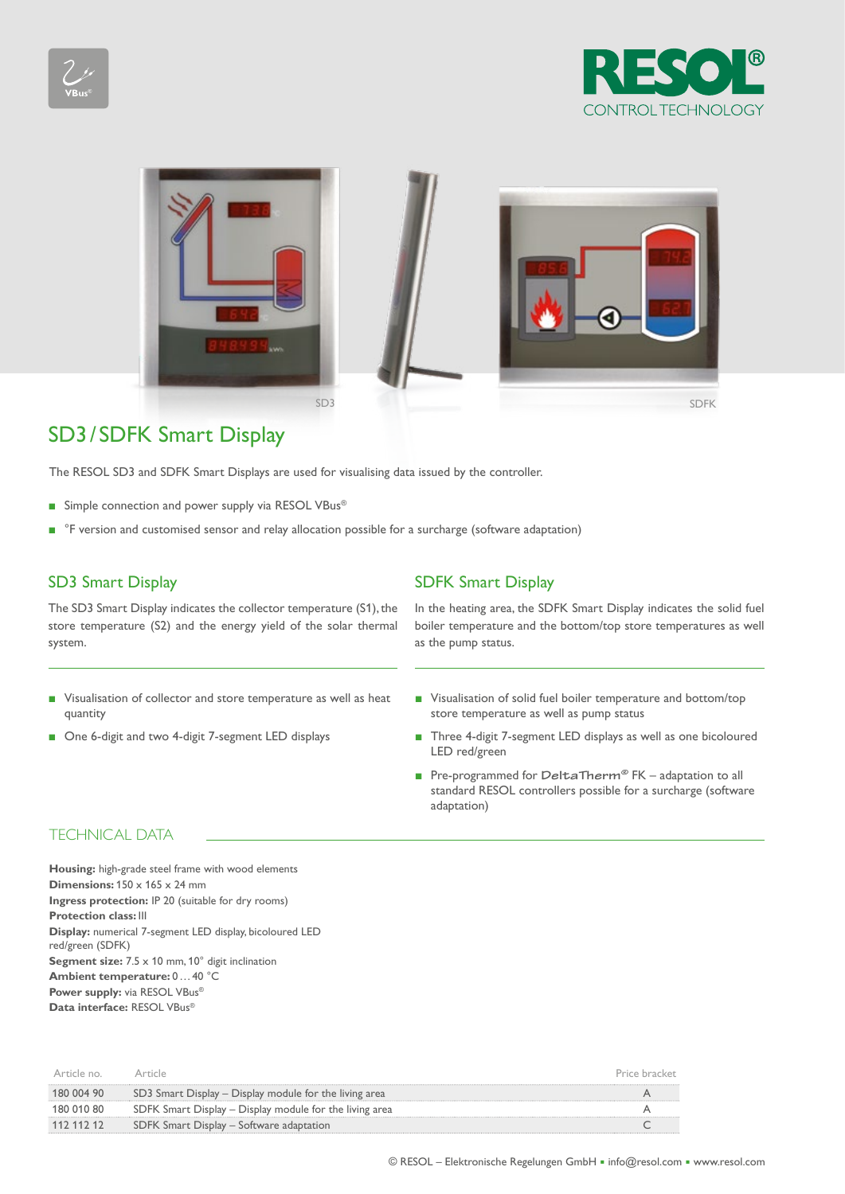





# SD3/ SDFK Smart Display

The RESOL SD3 and SDFK Smart Displays are used for visualising data issued by the controller.

- Simple connection and power supply via RESOL VBus<sup>®</sup>
- <sup>°F</sup> version and customised sensor and relay allocation possible for a surcharge (software adaptation)

The SD3 Smart Display indicates the collector temperature (S1), the store temperature (S2) and the energy yield of the solar thermal system.

- Visualisation of collector and store temperature as well as heat quantity
- One 6-digit and two 4-digit 7-segment LED displays

## SD3 Smart Display SD5 Smart Display

In the heating area, the SDFK Smart Display indicates the solid fuel boiler temperature and the bottom/top store temperatures as well as the pump status.

- Visualisation of solid fuel boiler temperature and bottom/top store temperature as well as pump status
- Three 4-digit 7-segment LED displays as well as one bicoloured LED red/green
- Pre-programmed for DeltaTherm<sup>®</sup> FK adaptation to all standard RESOL controllers possible for a surcharge (software adaptation)

## TECHNICAL DATA

**Housing:** high-grade steel frame with wood elements **Dimensions:**  $150 \times 165 \times 24$  mm **Ingress protection:** IP 20 (suitable for dry rooms) **Protection class:** III **Display:** numerical 7-segment LED display, bicoloured LED red/green (SDFK) **Segment size:** 7.5 x 10 mm, 10° digit inclination **Ambient temperature:** 0…40 °C **Power supply:** via RESOL VBus<sup>®</sup> **Data interface:** RESOL VBus®

| Article no |                                                         |  |
|------------|---------------------------------------------------------|--|
| 180 004 90 | SD3 Smart Display – Display module for the living area  |  |
| 180 010 80 | SDFK Smart Display – Display module for the living area |  |
| 112 112 12 | SDFK Smart Display – Software adaptation                |  |